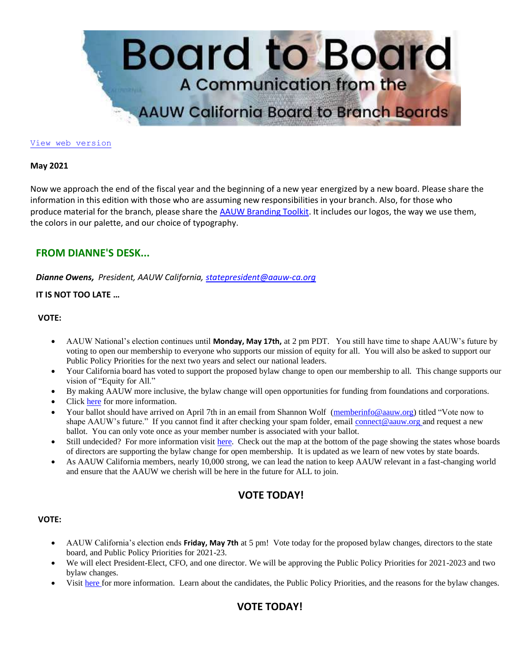

#### [View web version](https://bor.aauw-ca.org/sendy/w/eookH0PlDlBfYp3s1iFafA/ue11VS1tEWQ3n41XQtnOMA/XBdbhuHBFhFcdVJh76305mpg)

#### **May 2021**

Now we approach the end of the fiscal year and the beginning of a new year energized by a new board. Please share the information in this edition with those who are assuming new responsibilities in your branch. Also, for those who produce material for the branch, please share the [AAUW Branding Toolkit.](https://bor.aauw-ca.org/sendy/l/eookH0PlDlBfYp3s1iFafA/WUV4BDQ0kwEuA5Mjz1MNwQ/XBdbhuHBFhFcdVJh76305mpg) It includes our logos, the way we use them, the colors in our palette, and our choice of typography.

## **FROM DIANNE'S DESK...**

*Dianne Owens, President, AAUW California, [statepresident@aauw-ca.org](mailto:statepresident@aauw-ca.org)*

#### **IT IS NOT TOO LATE …**

#### **VOTE:**

- AAUW National's election continues until **Monday, May 17th,** at 2 pm PDT. You still have time to shape AAUW's future by voting to open our membership to everyone who supports our mission of equity for all. You will also be asked to support our Public Policy Priorities for the next two years and select our national leaders.
- Your California board has voted to support the proposed bylaw change to open our membership to all. This change supports our vision of "Equity for All."
- By making AAUW more inclusive, the bylaw change will open opportunities for funding from foundations and corporations.
- Click [here](https://bor.aauw-ca.org/sendy/l/eookH0PlDlBfYp3s1iFafA/puQ763kxxWFIWw0BKPDPsl8A/XBdbhuHBFhFcdVJh76305mpg) for more information.
- Your ballot should have arrived on April 7th in an email from Shannon Wolf [\(memberinfo@aauw.org\)](mailto:memberinfo@aauw.org) titled "Vote now to shape AAUW's future." If you cannot find it after checking your spam folder, emai[l connect@aauw.org a](mailto:connect@aauw.org)nd request a new ballot. You can only vote once as your member number is associated with your ballot.
- Still undecided? For more information visit [here.](https://bor.aauw-ca.org/sendy/l/eookH0PlDlBfYp3s1iFafA/iNXrb5Cn3eGlWFGyucoPqw/XBdbhuHBFhFcdVJh76305mpg) Check out the map at the bottom of the page showing the states whose boards of directors are supporting the bylaw change for open membership. It is updated as we learn of new votes by state boards.
- As AAUW California members, nearly 10,000 strong, we can lead the nation to keep AAUW relevant in a fast-changing world and ensure that the AAUW we cherish will be here in the future for ALL to join.

# **VOTE TODAY!**

#### **VOTE:**

- AAUW California's election ends **Friday, May 7th** at 5 pm! Vote today for the proposed bylaw changes, directors to the state board, and Public Policy Priorities for 2021-23.
- We will elect President-Elect, CFO, and one director. We will be approving the Public Policy Priorities for 2021-2023 and two bylaw changes.
- Visit [here f](https://bor.aauw-ca.org/sendy/l/eookH0PlDlBfYp3s1iFafA/892ZE8UMu8ZvAkFcGy9ReD1Q/XBdbhuHBFhFcdVJh76305mpg)or more information. Learn about the candidates, the Public Policy Priorities, and the reasons for the bylaw changes.

# **VOTE TODAY!**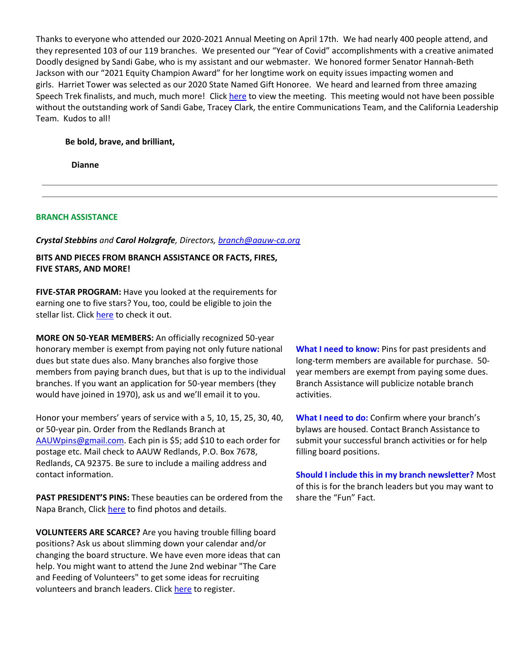Thanks to everyone who attended our 2020-2021 Annual Meeting on April 17th. We had nearly 400 people attend, and they represented 103 of our 119 branches. We presented our "Year of Covid" accomplishments with a creative animated Doodly designed by Sandi Gabe, who is my assistant and our webmaster. We honored former Senator Hannah-Beth Jackson with our "2021 Equity Champion Award" for her longtime work on equity issues impacting women and girls. Harriet Tower was selected as our 2020 State Named Gift Honoree. We heard and learned from three amazing Speech Trek finalists, and much, much more! Clic[k here](https://bor.aauw-ca.org/sendy/l/eookH0PlDlBfYp3s1iFafA/Y1AkZWgrT0EpSB90YDGkDg/XBdbhuHBFhFcdVJh76305mpg) to view the meeting. This meeting would not have been possible without the outstanding work of Sandi Gabe, Tracey Clark, the entire Communications Team, and the California Leadership Team. Kudos to all!

#### **Be bold, brave, and brilliant,**

 **Dianne**

#### **BRANCH ASSISTANCE**

#### *Crystal Stebbins and Carol Holzgrafe, Directors, [branch@aauw-ca.org](mailto:branch@aauw-ca.org)*

## **BITS AND PIECES FROM BRANCH ASSISTANCE OR FACTS, FIRES, FIVE STARS, AND MORE!**

**FIVE-STAR PROGRAM:** Have you looked at the requirements for earning one to five stars? You, too, could be eligible to join the stellar list. Click [here](https://bor.aauw-ca.org/sendy/l/eookH0PlDlBfYp3s1iFafA/piP763B2U5EmtwCJggKMNbBw/XBdbhuHBFhFcdVJh76305mpg) to check it out.

**MORE ON 50-YEAR MEMBERS:** An officially recognized 50-year honorary member is exempt from paying not only future national dues but state dues also. Many branches also forgive those members from paying branch dues, but that is up to the individual branches. If you want an application for 50-year members (they would have joined in 1970), ask us and we'll email it to you.

Honor your members' years of service with a 5, 10, 15, 25, 30, 40, or 50-year pin. Order from the Redlands Branch at [AAUWpins@gmail.com.](mailto:AAUWpins@gmail.com) Each pin is \$5; add \$10 to each order for postage etc. Mail check to AAUW Redlands, P.O. Box 7678, Redlands, CA 92375. Be sure to include a mailing address and contact information.

**PAST PRESIDENT'S PINS:** These beauties can be ordered from the Napa Branch, Click [here](https://bor.aauw-ca.org/sendy/l/eookH0PlDlBfYp3s1iFafA/P5wVE8yBTIhj2mWKLVh2kw/XBdbhuHBFhFcdVJh76305mpg) to find photos and details.

**VOLUNTEERS ARE SCARCE?** Are you having trouble filling board positions? Ask us about slimming down your calendar and/or changing the board structure. We have even more ideas that can help. You might want to attend the June 2nd webinar "The Care and Feeding of Volunteers" to get some ideas for recruiting volunteers and branch leaders. Click [here](https://bor.aauw-ca.org/sendy/l/eookH0PlDlBfYp3s1iFafA/hLiVftqF892i3mnONroK9bvQ/XBdbhuHBFhFcdVJh76305mpg) to register.

**What I need to know:** Pins for past presidents and long-term members are available for purchase. 50 year members are exempt from paying some dues. Branch Assistance will publicize notable branch activities.

**What I need to do:** Confirm where your branch's bylaws are housed. Contact Branch Assistance to submit your successful branch activities or for help filling board positions.

**Should I include this in my branch newsletter?** Most of this is for the branch leaders but you may want to share the "Fun" Fact.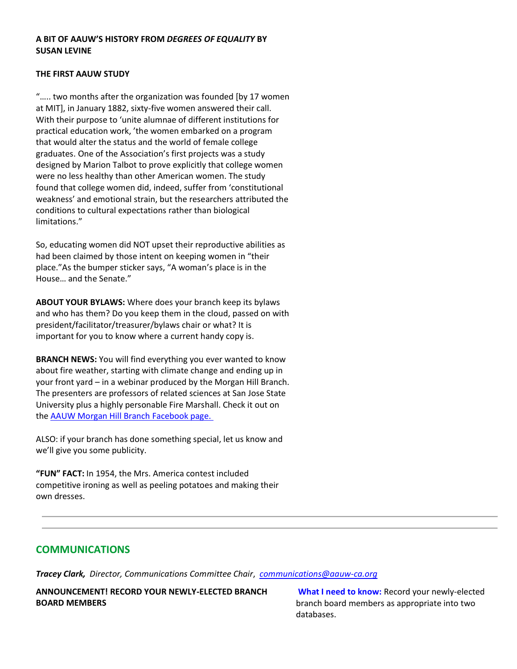## **A BIT OF AAUW'S HISTORY FROM** *DEGREES OF EQUALITY* **BY SUSAN LEVINE**

#### **THE FIRST AAUW STUDY**

"….. two months after the organization was founded [by 17 women at MIT], in January 1882, sixty-five women answered their call. With their purpose to 'unite alumnae of different institutions for practical education work, 'the women embarked on a program that would alter the status and the world of female college graduates. One of the Association's first projects was a study designed by Marion Talbot to prove explicitly that college women were no less healthy than other American women. The study found that college women did, indeed, suffer from 'constitutional weakness' and emotional strain, but the researchers attributed the conditions to cultural expectations rather than biological limitations."

So, educating women did NOT upset their reproductive abilities as had been claimed by those intent on keeping women in "their place."As the bumper sticker says, "A woman's place is in the House… and the Senate."

**ABOUT YOUR BYLAWS:** Where does your branch keep its bylaws and who has them? Do you keep them in the cloud, passed on with president/facilitator/treasurer/bylaws chair or what? It is important for you to know where a current handy copy is.

**BRANCH NEWS:** You will find everything you ever wanted to know about fire weather, starting with climate change and ending up in your front yard – in a webinar produced by the Morgan Hill Branch. The presenters are professors of related sciences at San Jose State University plus a highly personable Fire Marshall. Check it out on the [AAUW Morgan Hill Branch Facebook page.](https://bor.aauw-ca.org/sendy/l/eookH0PlDlBfYp3s1iFafA/I28928928IhLtY8pmxfMO2rYDQ/XBdbhuHBFhFcdVJh76305mpg)

ALSO: if your branch has done something special, let us know and we'll give you some publicity.

**"FUN" FACT:** In 1954, the Mrs. America contest included competitive ironing as well as peeling potatoes and making their own dresses.

# **COMMUNICATIONS**

*Tracey Clark, Director, Communications Committee Chair*, *[communications@aauw-ca.org](mailto:Communications@aauw-ca.org)*

**ANNOUNCEMENT! RECORD YOUR NEWLY-ELECTED BRANCH BOARD MEMBERS**

**What I need to know:** Record your newly-elected branch board members as appropriate into two databases.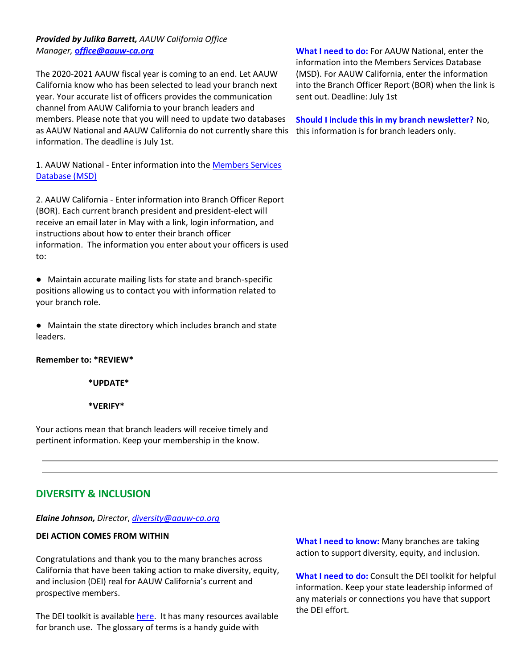## *Provided by Julika Barrett, AAUW California Office Manager,* **o***[ffice@aauw-ca.org](mailto:office@aauw-ca.org)*

The 2020-2021 AAUW fiscal year is coming to an end. Let AAUW California know who has been selected to lead your branch next year. Your accurate list of officers provides the communication channel from AAUW California to your branch leaders and members. Please note that you will need to update two databases as AAUW National and AAUW California do not currently share this information. The deadline is July 1st.

1. AAUW National - Enter information into the [Members Services](https://bor.aauw-ca.org/sendy/l/eookH0PlDlBfYp3s1iFafA/dnphyxzYAeLqOV3eNMANgQ/XBdbhuHBFhFcdVJh76305mpg)  [Database \(MSD\)](https://bor.aauw-ca.org/sendy/l/eookH0PlDlBfYp3s1iFafA/dnphyxzYAeLqOV3eNMANgQ/XBdbhuHBFhFcdVJh76305mpg)

2. AAUW California - Enter information into Branch Officer Report (BOR). Each current branch president and president-elect will receive an email later in May with a link, login information, and instructions about how to enter their branch officer information. The information you enter about your officers is used to:

● Maintain accurate mailing lists for state and branch-specific positions allowing us to contact you with information related to your branch role.

● Maintain the state directory which includes branch and state leaders.

### **Remember to: \*REVIEW\***

**\*UPDATE\***

**\*VERIFY\***

Your actions mean that branch leaders will receive timely and pertinent information. Keep your membership in the know.

# **DIVERSITY & INCLUSION**

*Elaine Johnson, Director*, *[diversity@aauw-ca.org](mailto:diversity@aauw-ca.org)*

### **DEI ACTION COMES FROM WITHIN**

Congratulations and thank you to the many branches across California that have been taking action to make diversity, equity, and inclusion (DEI) real for AAUW California's current and prospective members.

The DEI toolkit is available [here.](https://bor.aauw-ca.org/sendy/l/eookH0PlDlBfYp3s1iFafA/zu2oBnNBJBTh2ZV8NOE5Pg/XBdbhuHBFhFcdVJh76305mpg) It has many resources available for branch use. The glossary of terms is a handy guide with

**What I need to do:** For AAUW National, enter the information into the Members Services Database (MSD). For AAUW California, enter the information into the Branch Officer Report (BOR) when the link is sent out. Deadline: July 1st

**Should I include this in my branch newsletter?** No, this information is for branch leaders only.

**What I need to know:** Many branches are taking action to support diversity, equity, and inclusion.

**What I need to do:** Consult the DEI toolkit for helpful information. Keep your state leadership informed of any materials or connections you have that support the DEI effort.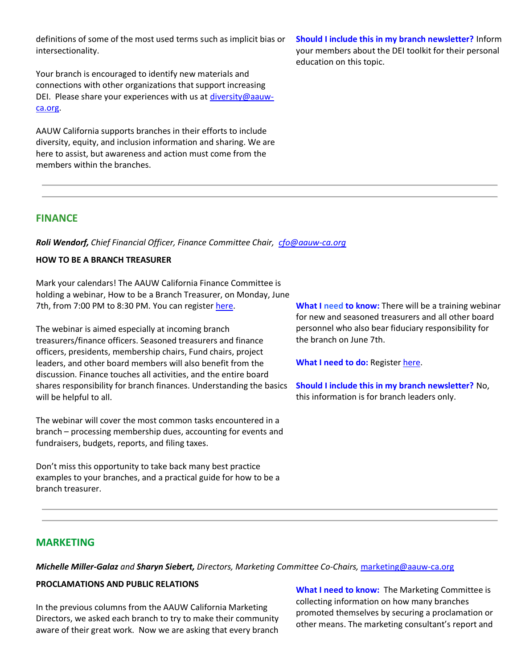definitions of some of the most used terms such as implicit bias or intersectionality.

Your branch is encouraged to identify new materials and connections with other organizations that support increasing DEI. Please share your experiences with us at [diversity@aauw](mailto:diversity@aauw-ca.org)[ca.org.](mailto:diversity@aauw-ca.org)

AAUW California supports branches in their efforts to include diversity, equity, and inclusion information and sharing. We are here to assist, but awareness and action must come from the members within the branches.

**Should I include this in my branch newsletter?** Inform your members about the DEI toolkit for their personal education on this topic.

## **FINANCE**

*Roli Wendorf, Chief Financial Officer, Finance Committee Chair, [cfo@aauw-ca.org](mailto:cfo@aauw-ca.org)*

## **HOW TO BE A BRANCH TREASURER**

Mark your calendars! The AAUW California Finance Committee is holding a webinar, How to be a Branch Treasurer, on Monday, June 7th, from 7:00 PM to 8:30 PM. You can register [here.](https://bor.aauw-ca.org/sendy/l/eookH0PlDlBfYp3s1iFafA/9eZr60NqFa2cGCiwTNU4tQ/XBdbhuHBFhFcdVJh76305mpg)

The webinar is aimed especially at incoming branch treasurers/finance officers. Seasoned treasurers and finance officers, presidents, membership chairs, Fund chairs, project leaders, and other board members will also benefit from the discussion. Finance touches all activities, and the entire board shares responsibility for branch finances. Understanding the basics will be helpful to all.

The webinar will cover the most common tasks encountered in a branch – processing membership dues, accounting for events and fundraisers, budgets, reports, and filing taxes.

Don't miss this opportunity to take back many best practice examples to your branches, and a practical guide for how to be a branch treasurer.

**What I need to know:** There will be a training webinar for new and seasoned treasurers and all other board personnel who also bear fiduciary responsibility for the branch on June 7th.

**What I need to do:** Registe[r here.](https://bor.aauw-ca.org/sendy/l/eookH0PlDlBfYp3s1iFafA/9eZr60NqFa2cGCiwTNU4tQ/XBdbhuHBFhFcdVJh76305mpg)

**Should I include this in my branch newsletter?** No, this information is for branch leaders only.

## **MARKETING**

*Michelle Miller-Galaz and Sharyn Siebert, Directors, Marketing Committee Co-Chairs,* [marketing@aauw-ca.org](mailto:marketing@aauw-ca.org)

#### **PROCLAMATIONS AND PUBLIC RELATIONS**

In the previous columns from the AAUW California Marketing Directors, we asked each branch to try to make their community aware of their great work. Now we are asking that every branch

**What I need to know:** The Marketing Committee is collecting information on how many branches promoted themselves by securing a proclamation or other means. The marketing consultant's report and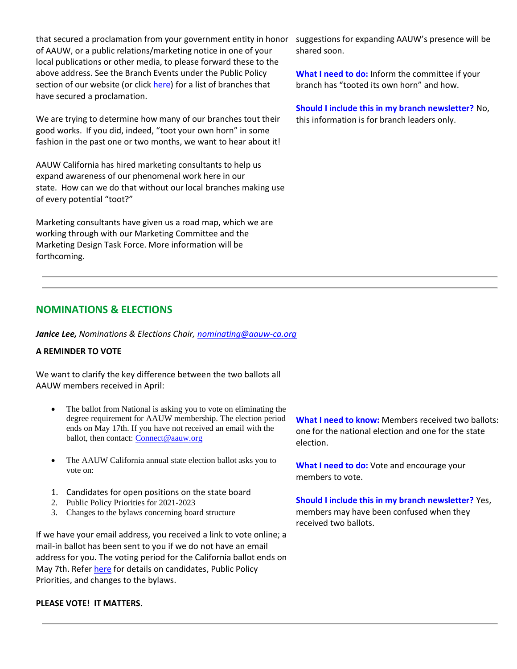that secured a proclamation from your government entity in honor of AAUW, or a public relations/marketing notice in one of your local publications or other media, to please forward these to the above address. See the Branch Events under the Public Policy section of our website (or clic[k here\)](https://bor.aauw-ca.org/sendy/l/eookH0PlDlBfYp3s1iFafA/Vx41dVki1XyVnDkolVHT6Q/XBdbhuHBFhFcdVJh76305mpg) for a list of branches that have secured a proclamation.

We are trying to determine how many of our branches tout their good works. If you did, indeed, "toot your own horn" in some fashion in the past one or two months, we want to hear about it!

AAUW California has hired marketing consultants to help us expand awareness of our phenomenal work here in our state. How can we do that without our local branches making use of every potential "toot?"

Marketing consultants have given us a road map, which we are working through with our Marketing Committee and the Marketing Design Task Force. More information will be forthcoming.

# **NOMINATIONS & ELECTIONS**

*Janice Lee, Nominations & Elections Chair, [nominating@aauw-ca.org](mailto:nominating@aauw-ca.org)*

### **A REMINDER TO VOTE**

We want to clarify the key difference between the two ballots all AAUW members received in April:

- The ballot from National is asking you to vote on eliminating the degree requirement for AAUW membership. The election period ends on May 17th. If you have not received an email with the ballot, then contact: [Connect@aauw.org](mailto:Connect@aauw.org)
- The AAUW California annual state election ballot asks you to vote on:
- 1. Candidates for open positions on the state board
- 2. Public Policy Priorities for 2021-2023
- 3. Changes to the bylaws concerning board structure

If we have your email address, you received a link to vote online; a mail-in ballot has been sent to you if we do not have an email address for you. The voting period for the California ballot ends on May 7th. Refe[r here](https://bor.aauw-ca.org/sendy/l/eookH0PlDlBfYp3s1iFafA/892ZE8UMu8ZvAkFcGy9ReD1Q/XBdbhuHBFhFcdVJh76305mpg) for details on candidates, Public Policy Priorities, and changes to the bylaws.

#### **PLEASE VOTE! IT MATTERS.**

suggestions for expanding AAUW's presence will be shared soon.

**What I need to do:** Inform the committee if your branch has "tooted its own horn" and how.

**Should I include this in my branch newsletter?** No, this information is for branch leaders only.

**What I need to know:** Members received two ballots: one for the national election and one for the state election.

**What I need to do:** Vote and encourage your members to vote.

**Should I include this in my branch newsletter?** Yes, members may have been confused when they received two ballots.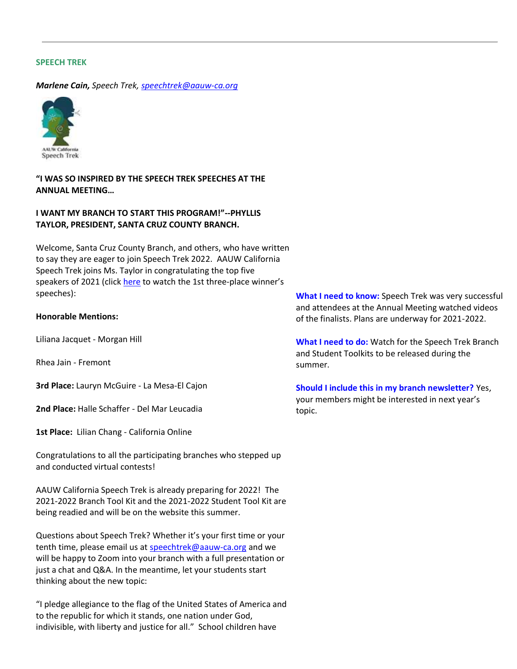#### **SPEECH TREK**

*Marlene Cain, Speech Trek, [speechtrek@aauw-ca.org](mailto:speechtrek@aauw-ca.org)*



**"I WAS SO INSPIRED BY THE SPEECH TREK SPEECHES AT THE ANNUAL MEETING…**

### **I WANT MY BRANCH TO START THIS PROGRAM!"--PHYLLIS TAYLOR, PRESIDENT, SANTA CRUZ COUNTY BRANCH.**

Welcome, Santa Cruz County Branch, and others, who have written to say they are eager to join Speech Trek 2022. AAUW California Speech Trek joins Ms. Taylor in congratulating the top five speakers of 2021 (click [here](https://bor.aauw-ca.org/sendy/l/eookH0PlDlBfYp3s1iFafA/TgBiyJCZOABw8wCAeWGc3g/XBdbhuHBFhFcdVJh76305mpg) to watch the 1st three-place winner's speeches):

#### **Honorable Mentions:**

Liliana Jacquet - Morgan Hill

Rhea Jain - Fremont

**3rd Place:** Lauryn McGuire - La Mesa-El Cajon

**2nd Place:** Halle Schaffer - Del Mar Leucadia

**1st Place:** Lilian Chang - California Online

Congratulations to all the participating branches who stepped up and conducted virtual contests!

AAUW California Speech Trek is already preparing for 2022! The 2021-2022 Branch Tool Kit and the 2021-2022 Student Tool Kit are being readied and will be on the website this summer.

Questions about Speech Trek? Whether it's your first time or your tenth time, please email us at [speechtrek@aauw-ca.org](mailto:speechtrek@aauw-ca.org) and we will be happy to Zoom into your branch with a full presentation or just a chat and Q&A. In the meantime, let your students start thinking about the new topic:

"I pledge allegiance to the flag of the United States of America and to the republic for which it stands, one nation under God, indivisible, with liberty and justice for all." School children have

**What I need to know:** Speech Trek was very successful and attendees at the Annual Meeting watched videos of the finalists. Plans are underway for 2021-2022.

**What I need to do:** Watch for the Speech Trek Branch and Student Toolkits to be released during the summer.

**Should I include this in my branch newsletter?** Yes, your members might be interested in next year's topic.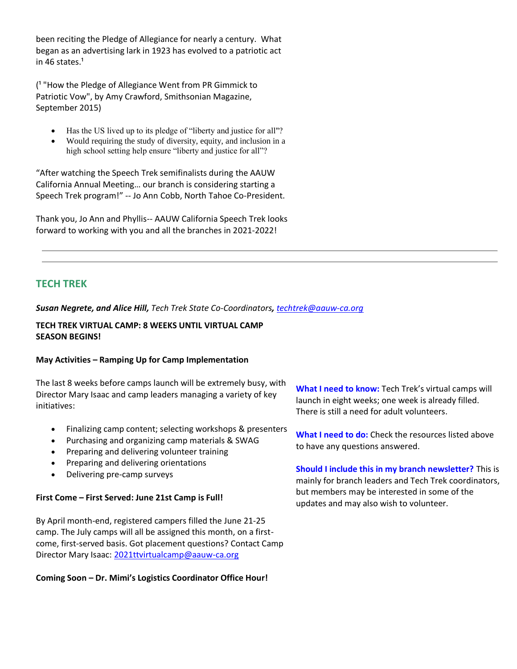been reciting the Pledge of Allegiance for nearly a century. What began as an advertising lark in 1923 has evolved to a patriotic act in 46 states. $1$ 

(<sup>1</sup> "How the Pledge of Allegiance Went from PR Gimmick to Patriotic Vow", by Amy Crawford, Smithsonian Magazine, September 2015)

- Has the US lived up to its pledge of "liberty and justice for all"?
- Would requiring the study of diversity, equity, and inclusion in a high school setting help ensure "liberty and justice for all"?

"After watching the Speech Trek semifinalists during the AAUW California Annual Meeting… our branch is considering starting a Speech Trek program!" -- Jo Ann Cobb, North Tahoe Co-President.

Thank you, Jo Ann and Phyllis-- AAUW California Speech Trek looks forward to working with you and all the branches in 2021-2022!

# **TECH TREK**

*Susan Negrete, and Alice Hill, Tech Trek State Co-Coordinators, [techtrek@aauw-ca.org](mailto:techtrek@aauw-ca.org)*

#### **TECH TREK VIRTUAL CAMP: 8 WEEKS UNTIL VIRTUAL CAMP SEASON BEGINS!**

### **May Activities – Ramping Up for Camp Implementation**

The last 8 weeks before camps launch will be extremely busy, with Director Mary Isaac and camp leaders managing a variety of key initiatives:

- Finalizing camp content; selecting workshops & presenters
- Purchasing and organizing camp materials & SWAG
- Preparing and delivering volunteer training
- Preparing and delivering orientations
- Delivering pre-camp surveys

### **First Come – First Served: June 21st Camp is Full!**

By April month-end, registered campers filled the June 21-25 camp. The July camps will all be assigned this month, on a firstcome, first-served basis. Got placement questions? Contact Camp Director Mary Isaac: [2021ttvirtualcamp@aauw-ca.org](mailto:2021ttvirtualcamp@aauw-ca.org)

**Coming Soon – Dr. Mimi's Logistics Coordinator Office Hour!**

**What I need to know:** Tech Trek's virtual camps will launch in eight weeks; one week is already filled. There is still a need for adult volunteers.

**What I need to do:** Check the resources listed above to have any questions answered.

**Should I include this in my branch newsletter?** This is mainly for branch leaders and Tech Trek coordinators, but members may be interested in some of the updates and may also wish to volunteer.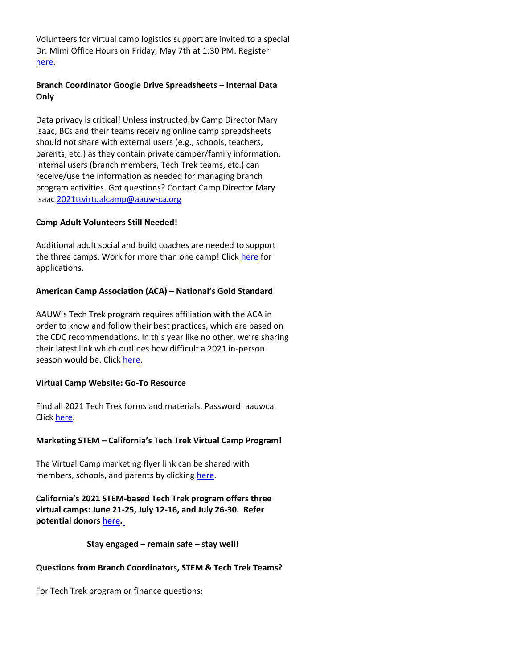Volunteers for virtual camp logistics support are invited to a special Dr. Mimi Office Hours on Friday, May 7th at 1:30 PM. Register [here.](https://bor.aauw-ca.org/sendy/l/eookH0PlDlBfYp3s1iFafA/QBbUHZHXIdEFyPmZLyMR3g/XBdbhuHBFhFcdVJh76305mpg)

## **Branch Coordinator Google Drive Spreadsheets – Internal Data Only**

Data privacy is critical! Unless instructed by Camp Director Mary Isaac, BCs and their teams receiving online camp spreadsheets should not share with external users (e.g., schools, teachers, parents, etc.) as they contain private camper/family information. Internal users (branch members, Tech Trek teams, etc.) can receive/use the information as needed for managing branch program activities. Got questions? Contact Camp Director Mary Isaac [2021ttvirtualcamp@aauw-ca.org](mailto:2021ttvirtualcamp@aauw-ca.org)

### **Camp Adult Volunteers Still Needed!**

Additional adult social and build coaches are needed to support the three camps. Work for more than one camp! Clic[k here](https://bor.aauw-ca.org/sendy/l/eookH0PlDlBfYp3s1iFafA/Bs1mlxywJ892pPpNu7ZPW9ig/XBdbhuHBFhFcdVJh76305mpg) for applications.

## **American Camp Association (ACA) – National's Gold Standard**

AAUW's Tech Trek program requires affiliation with the ACA in order to know and follow their best practices, which are based on the CDC recommendations. In this year like no other, we're sharing their latest link which outlines how difficult a 2021 in-person season would be. Click [here.](https://bor.aauw-ca.org/sendy/l/eookH0PlDlBfYp3s1iFafA/FftycOedGBoEqJqrMAbAew/XBdbhuHBFhFcdVJh76305mpg)

## **Virtual Camp Website: Go-To Resource**

Find all 2021 Tech Trek forms and materials. Password: aauwca. Clic[k here.](https://bor.aauw-ca.org/sendy/l/eookH0PlDlBfYp3s1iFafA/l5ozX05cVr5bwD5zxu0wwg/XBdbhuHBFhFcdVJh76305mpg)

## **Marketing STEM – California's Tech Trek Virtual Camp Program!**

The Virtual Camp marketing flyer link can be shared with members, schools, and parents by clicking [here.](https://bor.aauw-ca.org/sendy/l/eookH0PlDlBfYp3s1iFafA/JSXecvDczszlY5BZEtAs0A/XBdbhuHBFhFcdVJh76305mpg)

**California's 2021 STEM-based Tech Trek program offers three virtual camps: June 21-25, July 12-16, and July 26-30. Refer potential donors [here.](https://bor.aauw-ca.org/sendy/l/eookH0PlDlBfYp3s1iFafA/zG4S892AQySwcHIhRqk892iHkQ/XBdbhuHBFhFcdVJh76305mpg)**

**Stay engaged – remain safe – stay well!**

## **Questions from Branch Coordinators, STEM & Tech Trek Teams?**

For Tech Trek program or finance questions: